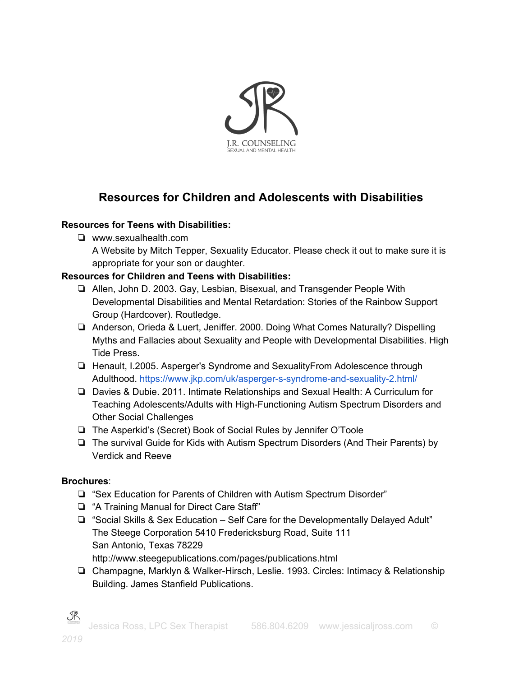

# **Resources for Children and Adolescents with Disabilities**

### **Resources for Teens with Disabilities:**

❏ www.sexualhealth.com

A Website by Mitch Tepper, Sexuality Educator. Please check it out to make sure it is appropriate for your son or daughter.

### **Resources for Children and Teens with Disabilities:**

- ❏ Allen, John D. 2003. Gay, Lesbian, Bisexual, and Transgender People With Developmental Disabilities and Mental Retardation: Stories of the Rainbow Support Group (Hardcover). Routledge.
- ❏ Anderson, Orieda & Luert, Jeniffer. 2000. Doing What Comes Naturally? Dispelling Myths and Fallacies about Sexuality and People with Developmental Disabilities. High Tide Press.
- ❏ Henault, I.2005. Asperger's Syndrome and SexualityFrom Adolescence through Adulthood. <https://www.jkp.com/uk/asperger-s-syndrome-and-sexuality-2.html/>
- ❏ Davies & Dubie. 2011. Intimate Relationships and Sexual Health: A Curriculum for Teaching Adolescents/Adults with High-Functioning Autism Spectrum Disorders and Other Social Challenges
- ❏ The Asperkid's (Secret) Book of Social Rules by Jennifer O'Toole
- ❏ The survival Guide for Kids with Autism Spectrum Disorders (And Their Parents) by Verdick and Reeve

#### **Brochures**:

- ❏ "Sex Education for Parents of Children with Autism Spectrum Disorder"
- ❏ "A Training Manual for Direct Care Staff"
- ❏ "Social Skills & Sex Education Self Care for the Developmentally Delayed Adult" The Steege Corporation 5410 Fredericksburg Road, Suite 111 San Antonio, Texas 78229

http://www.steegepublications.com/pages/publications.html

❏ Champagne, Marklyn & Walker-Hirsch, Leslie. 1993. Circles: Intimacy & Relationship Building. James Stanfield Publications.

 $\mathcal{R}$